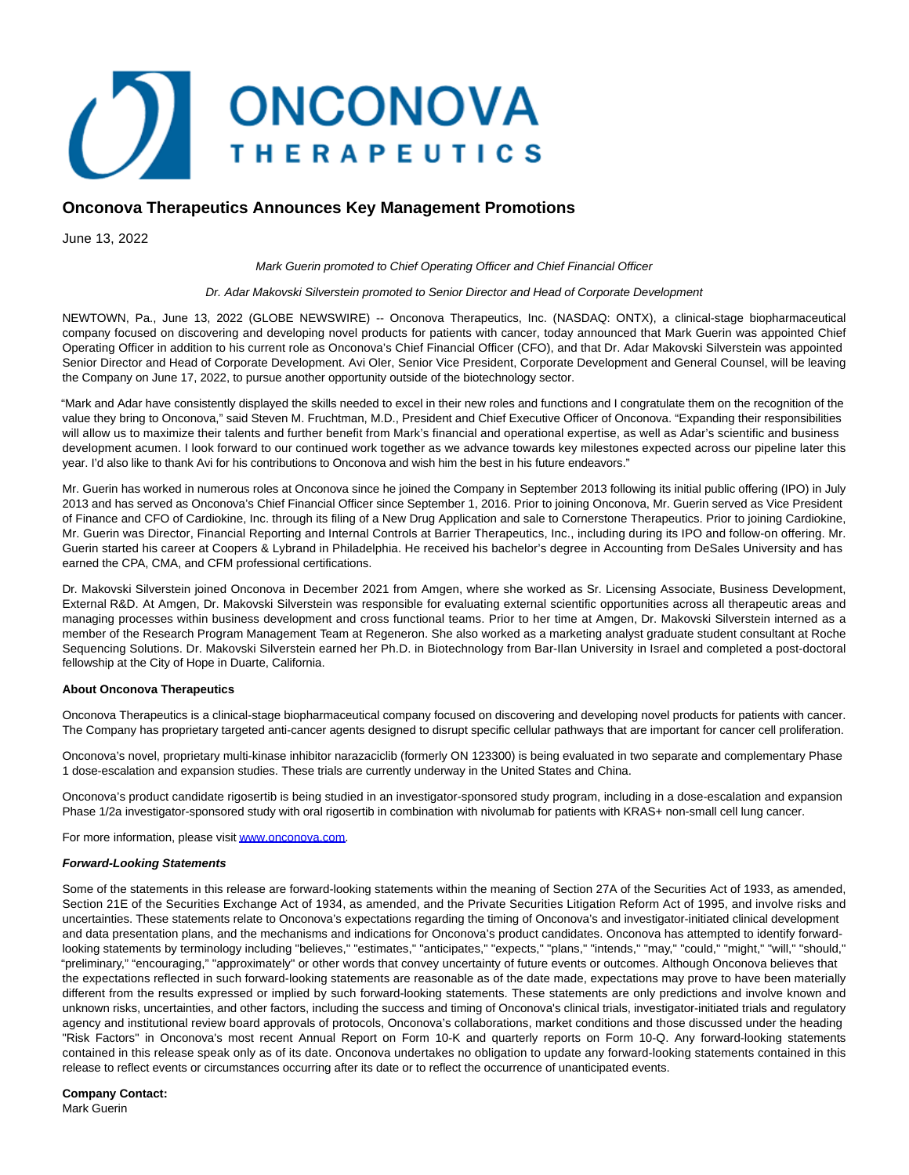

## **Onconova Therapeutics Announces Key Management Promotions**

June 13, 2022

Mark Guerin promoted to Chief Operating Officer and Chief Financial Officer

## Dr. Adar Makovski Silverstein promoted to Senior Director and Head of Corporate Development

NEWTOWN, Pa., June 13, 2022 (GLOBE NEWSWIRE) -- Onconova Therapeutics, Inc. (NASDAQ: ONTX), a clinical-stage biopharmaceutical company focused on discovering and developing novel products for patients with cancer, today announced that Mark Guerin was appointed Chief Operating Officer in addition to his current role as Onconova's Chief Financial Officer (CFO), and that Dr. Adar Makovski Silverstein was appointed Senior Director and Head of Corporate Development. Avi Oler, Senior Vice President, Corporate Development and General Counsel, will be leaving the Company on June 17, 2022, to pursue another opportunity outside of the biotechnology sector.

"Mark and Adar have consistently displayed the skills needed to excel in their new roles and functions and I congratulate them on the recognition of the value they bring to Onconova," said Steven M. Fruchtman, M.D., President and Chief Executive Officer of Onconova. "Expanding their responsibilities will allow us to maximize their talents and further benefit from Mark's financial and operational expertise, as well as Adar's scientific and business development acumen. I look forward to our continued work together as we advance towards key milestones expected across our pipeline later this year. I'd also like to thank Avi for his contributions to Onconova and wish him the best in his future endeavors."

Mr. Guerin has worked in numerous roles at Onconova since he joined the Company in September 2013 following its initial public offering (IPO) in July 2013 and has served as Onconova's Chief Financial Officer since September 1, 2016. Prior to joining Onconova, Mr. Guerin served as Vice President of Finance and CFO of Cardiokine, Inc. through its filing of a New Drug Application and sale to Cornerstone Therapeutics. Prior to joining Cardiokine, Mr. Guerin was Director, Financial Reporting and Internal Controls at Barrier Therapeutics, Inc., including during its IPO and follow-on offering. Mr. Guerin started his career at Coopers & Lybrand in Philadelphia. He received his bachelor's degree in Accounting from DeSales University and has earned the CPA, CMA, and CFM professional certifications.

Dr. Makovski Silverstein joined Onconova in December 2021 from Amgen, where she worked as Sr. Licensing Associate, Business Development, External R&D. At Amgen, Dr. Makovski Silverstein was responsible for evaluating external scientific opportunities across all therapeutic areas and managing processes within business development and cross functional teams. Prior to her time at Amgen, Dr. Makovski Silverstein interned as a member of the Research Program Management Team at Regeneron. She also worked as a marketing analyst graduate student consultant at Roche Sequencing Solutions. Dr. Makovski Silverstein earned her Ph.D. in Biotechnology from Bar-Ilan University in Israel and completed a post-doctoral fellowship at the City of Hope in Duarte, California.

## **About Onconova Therapeutics**

Onconova Therapeutics is a clinical-stage biopharmaceutical company focused on discovering and developing novel products for patients with cancer. The Company has proprietary targeted anti-cancer agents designed to disrupt specific cellular pathways that are important for cancer cell proliferation.

Onconova's novel, proprietary multi-kinase inhibitor narazaciclib (formerly ON 123300) is being evaluated in two separate and complementary Phase 1 dose-escalation and expansion studies. These trials are currently underway in the United States and China.

Onconova's product candidate rigosertib is being studied in an investigator-sponsored study program, including in a dose-escalation and expansion Phase 1/2a investigator-sponsored study with oral rigosertib in combination with nivolumab for patients with KRAS+ non-small cell lung cancer.

For more information, please visi[t www.onconova.com.](https://www.globenewswire.com/Tracker?data=rAbMhsjDr9fZnwt-_J_AsV44LrMXNGleDaJDxM-p_Cala58miQqZCLSezu4NhtwY0w5w-X5CrsocrZGB4DzoHA==)

## **Forward-Looking Statements**

Some of the statements in this release are forward-looking statements within the meaning of Section 27A of the Securities Act of 1933, as amended, Section 21E of the Securities Exchange Act of 1934, as amended, and the Private Securities Litigation Reform Act of 1995, and involve risks and uncertainties. These statements relate to Onconova's expectations regarding the timing of Onconova's and investigator-initiated clinical development and data presentation plans, and the mechanisms and indications for Onconova's product candidates. Onconova has attempted to identify forwardlooking statements by terminology including "believes," "estimates," "anticipates," "expects," "plans," "intends," "may," "could," "might," "will," "should," "preliminary," "encouraging," "approximately" or other words that convey uncertainty of future events or outcomes. Although Onconova believes that the expectations reflected in such forward-looking statements are reasonable as of the date made, expectations may prove to have been materially different from the results expressed or implied by such forward-looking statements. These statements are only predictions and involve known and unknown risks, uncertainties, and other factors, including the success and timing of Onconova's clinical trials, investigator-initiated trials and regulatory agency and institutional review board approvals of protocols, Onconova's collaborations, market conditions and those discussed under the heading "Risk Factors" in Onconova's most recent Annual Report on Form 10-K and quarterly reports on Form 10-Q. Any forward-looking statements contained in this release speak only as of its date. Onconova undertakes no obligation to update any forward-looking statements contained in this release to reflect events or circumstances occurring after its date or to reflect the occurrence of unanticipated events.

**Company Contact:**

Mark Guerin